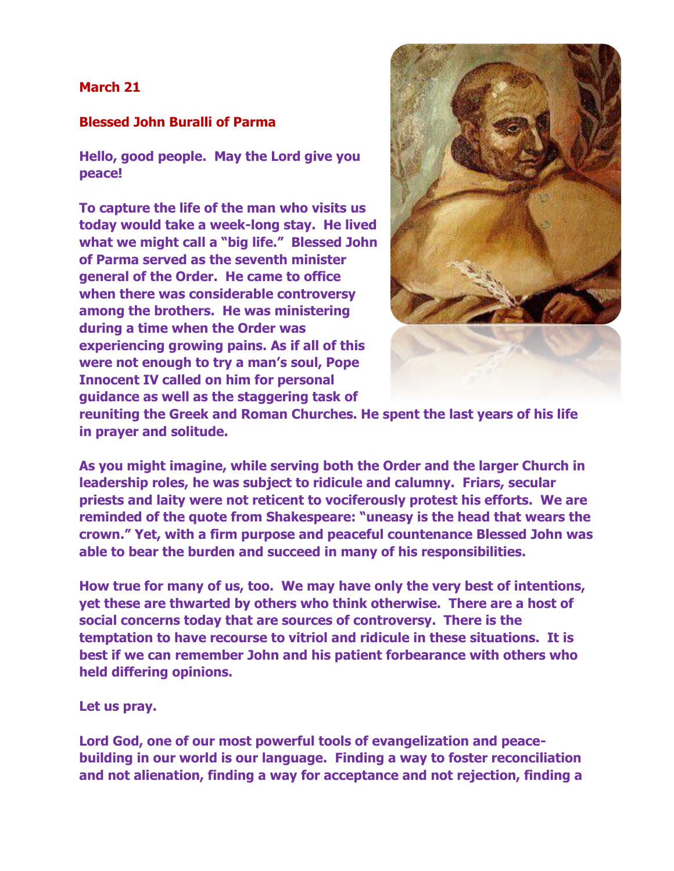## **March 21**

## **Blessed John Buralli of Parma**

**Hello, good people. May the Lord give you peace!**

**To capture the life of the man who visits us today would take a week-long stay. He lived what we might call a "big life." Blessed John of Parma served as the seventh minister general of the Order. He came to office when there was considerable controversy among the brothers. He was ministering during a time when the Order was experiencing growing pains. As if all of this were not enough to try a man's soul, Pope Innocent IV called on him for personal guidance as well as the staggering task of** 



**reuniting the Greek and Roman Churches. He spent the last years of his life in prayer and solitude.**

**As you might imagine, while serving both the Order and the larger Church in leadership roles, he was subject to ridicule and calumny. Friars, secular priests and laity were not reticent to vociferously protest his efforts. We are reminded of the quote from Shakespeare: "uneasy is the head that wears the crown." Yet, with a firm purpose and peaceful countenance Blessed John was able to bear the burden and succeed in many of his responsibilities.** 

**How true for many of us, too. We may have only the very best of intentions, yet these are thwarted by others who think otherwise. There are a host of social concerns today that are sources of controversy. There is the temptation to have recourse to vitriol and ridicule in these situations. It is best if we can remember John and his patient forbearance with others who held differing opinions.** 

**Let us pray.**

**Lord God, one of our most powerful tools of evangelization and peacebuilding in our world is our language. Finding a way to foster reconciliation and not alienation, finding a way for acceptance and not rejection, finding a**